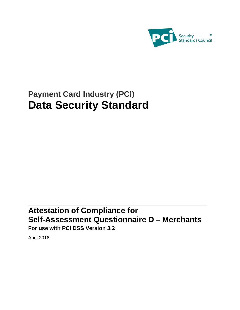

# **Payment Card Industry (PCI) Data Security Standard**

# **Attestation of Compliance for Self-Assessment Questionnaire D – Merchants**

**For use with PCI DSS Version 3.2**

April 2016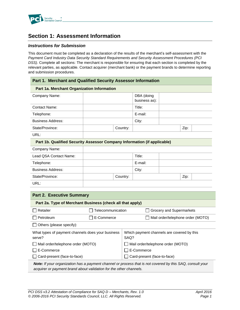

# **Section 1: Assessment Information**

## *Instructions for Submission*

This document must be completed as a declaration of the results of the merchant's self-assessment with the *Payment Card Industry Data Security Standard Requirements and Security Assessment Procedures (PCI DSS).* Complete all sections: The merchant is responsible for ensuring that each section is completed by the relevant parties, as applicable. Contact acquirer (merchant bank) or the payment brands to determine reporting and submission procedures.

| Part 1. Merchant and Qualified Security Assessor Information                                                      |                   |          |                                   |  |      |  |
|-------------------------------------------------------------------------------------------------------------------|-------------------|----------|-----------------------------------|--|------|--|
| Part 1a. Merchant Organization Information                                                                        |                   |          |                                   |  |      |  |
| Company Name:                                                                                                     |                   |          | DBA (doing<br>business as):       |  |      |  |
| <b>Contact Name:</b>                                                                                              |                   |          | Title:                            |  |      |  |
| Telephone:                                                                                                        |                   |          | E-mail:                           |  |      |  |
| <b>Business Address:</b>                                                                                          |                   |          | City:                             |  |      |  |
| State/Province:                                                                                                   |                   | Country: |                                   |  | Zip: |  |
| URL:                                                                                                              |                   |          |                                   |  |      |  |
| Part 1b. Qualified Security Assessor Company Information (if applicable)                                          |                   |          |                                   |  |      |  |
| Company Name:                                                                                                     |                   |          |                                   |  |      |  |
| Lead QSA Contact Name:                                                                                            |                   |          | Title:                            |  |      |  |
| Telephone:                                                                                                        |                   |          | E-mail:                           |  |      |  |
| <b>Business Address:</b>                                                                                          |                   |          | City:                             |  |      |  |
| State/Province:                                                                                                   |                   | Country: |                                   |  | Zip: |  |
| URL:                                                                                                              |                   |          |                                   |  |      |  |
|                                                                                                                   |                   |          |                                   |  |      |  |
| <b>Part 2. Executive Summary</b>                                                                                  |                   |          |                                   |  |      |  |
| Part 2a. Type of Merchant Business (check all that apply)                                                         |                   |          |                                   |  |      |  |
| Retailer                                                                                                          | Telecommunication |          | <b>Grocery and Supermarkets</b>   |  |      |  |
| Petroleum                                                                                                         | E-Commerce        |          | Mail order/telephone order (MOTO) |  |      |  |
| Others (please specify):                                                                                          |                   |          |                                   |  |      |  |
| What types of payment channels does your business<br>Which payment channels are covered by this<br>SAQ?<br>serve? |                   |          |                                   |  |      |  |

Mail order/telephone order (MOTO)

Card-present (face-to-face)

□ E-Commerce

*Note: If your organization has a payment channel or process that is not covered by this SAQ, consult your* 

*acquirer or payment brand about validation for the other channels.*

Mail order/telephone order (MOTO)

Card-present (face-to-face)

□ E-Commerce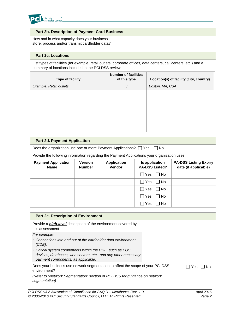

# **Part 2b. Description of Payment Card Business** How and in what capacity does your business store, process and/or transmit cardholder data?

### **Part 2c. Locations**

List types of facilities (for example, retail outlets, corporate offices, data centers, call centers, etc.) and a summary of locations included in the PCI DSS review.

| <b>Type of facility</b> | <b>Number of facilities</b><br>of this type | Location(s) of facility (city, country) |
|-------------------------|---------------------------------------------|-----------------------------------------|
| Example: Retail outlets | 3                                           | Boston, MA, USA                         |
|                         |                                             |                                         |
|                         |                                             |                                         |
|                         |                                             |                                         |
|                         |                                             |                                         |
|                         |                                             |                                         |
|                         |                                             |                                         |

## **Part 2d. Payment Application**

Does the organization use one or more Payment Applications?  $\Box$  Yes  $\Box$  No

Provide the following information regarding the Payment Applications your organization uses:

| <b>Payment Application</b><br><b>Name</b> | <b>Version</b><br><b>Number</b> | <b>Application</b><br>Vendor | Is application<br><b>PA-DSS Listed?</b> | <b>PA-DSS Listing Expiry</b><br>date (if applicable) |
|-------------------------------------------|---------------------------------|------------------------------|-----------------------------------------|------------------------------------------------------|
|                                           |                                 |                              | Yes<br>∣ No<br>$\blacksquare$           |                                                      |
|                                           |                                 |                              | Yes<br>$\Box$ No<br>$\blacksquare$      |                                                      |
|                                           |                                 |                              | Yes<br>l INo<br>$\blacksquare$          |                                                      |
|                                           |                                 |                              | Yes<br>$\Box$ No                        |                                                      |
|                                           |                                 |                              | Yes<br><b>No</b>                        |                                                      |

| Part 2e. Description of Environment                                                                                                                                                                                                                         |  |             |
|-------------------------------------------------------------------------------------------------------------------------------------------------------------------------------------------------------------------------------------------------------------|--|-------------|
| Provide a <b>high-level</b> description of the environment covered by<br>this assessment.                                                                                                                                                                   |  |             |
| For example:<br>• Connections into and out of the cardholder data environment<br>(CDE).<br>• Critical system components within the CDE, such as POS<br>devices, databases, web servers, etc., and any other necessary<br>payment components, as applicable. |  |             |
| Does your business use network segmentation to affect the scope of your PCI DSS<br>environment?                                                                                                                                                             |  | Yes<br>l No |
| (Refer to "Network Segmentation" section of PCI DSS for quidance on network<br>segmentation)                                                                                                                                                                |  |             |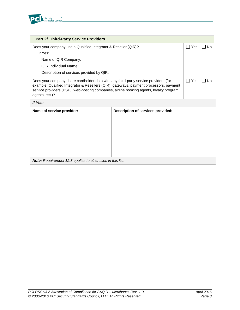

| <b>Part 2f. Third-Party Service Providers</b>                                                                                                                                                                                                                                              |     |    |
|--------------------------------------------------------------------------------------------------------------------------------------------------------------------------------------------------------------------------------------------------------------------------------------------|-----|----|
| Does your company use a Qualified Integrator & Reseller (QIR)?                                                                                                                                                                                                                             | Yes | No |
| If Yes:                                                                                                                                                                                                                                                                                    |     |    |
| Name of QIR Company:                                                                                                                                                                                                                                                                       |     |    |
| OIR Individual Name:                                                                                                                                                                                                                                                                       |     |    |
| Description of services provided by QIR:                                                                                                                                                                                                                                                   |     |    |
| Does your company share cardholder data with any third-party service providers (for<br>example, Qualified Integrator & Resellers (QIR), gateways, payment processors, payment<br>service providers (PSP), web-hosting companies, airline booking agents, loyalty program<br>agents, etc.)? | Yes | No |

*If Yes:*

| Name of service provider:                                    | Description of services provided: |  |
|--------------------------------------------------------------|-----------------------------------|--|
|                                                              |                                   |  |
|                                                              |                                   |  |
|                                                              |                                   |  |
|                                                              |                                   |  |
|                                                              |                                   |  |
|                                                              |                                   |  |
| Note: Requirement 12.8 applies to all entities in this list. |                                   |  |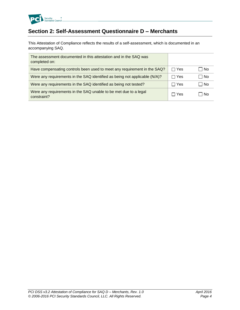

# **Section 2: Self-Assessment Questionnaire D – Merchants**

This Attestation of Compliance reflects the results of a self-assessment, which is documented in an accompanying SAQ.

| The assessment documented in this attestation and in the SAQ was<br>completed on: |              |           |
|-----------------------------------------------------------------------------------|--------------|-----------|
| Have compensating controls been used to meet any requirement in the SAQ?          | $\Box$ Yes   | No        |
| Were any requirements in the SAQ identified as being not applicable (N/A)?        | $\sqcap$ Yes | No        |
| Were any requirements in the SAQ identified as being not tested?                  | ∩ Yes        | <b>No</b> |
| Were any requirements in the SAQ unable to be met due to a legal<br>constraint?   | □ Yes        | No.       |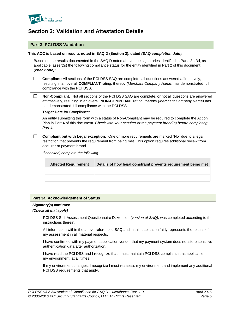

# **Section 3: Validation and Attestation Details**

## **Part 3. PCI DSS Validation**

## **This AOC is based on results noted in SAQ D (Section 2), dated** *(SAQ completion date).*

Based on the results documented in the SAQ D noted above, the signatories identified in Parts 3b-3d, as applicable, assert(s) the following compliance status for the entity identified in Part 2 of this document: (*check one):*

| $\Box$ Compliant: All sections of the PCI DSS SAQ are complete, all questions answered affirmatively, |
|-------------------------------------------------------------------------------------------------------|
| resulting in an overall COMPLIANT rating; thereby (Merchant Company Name) has demonstrated full       |
| compliance with the PCI DSS.                                                                          |

 $\Box$ **Non-Compliant:** Not all sections of the PCI DSS SAQ are complete, or not all questions are answered affirmatively, resulting in an overall **NON-COMPLIANT** rating, thereby *(Merchant Company Name)* has not demonstrated full compliance with the PCI DSS.

**Target Date** for Compliance:

An entity submitting this form with a status of Non-Compliant may be required to complete the Action Plan in Part 4 of this document. *Check with your acquirer or the payment brand(s) before completing Part 4.*

 $\Box$ **Compliant but with Legal exception:** One or more requirements are marked "No" due to a legal restriction that prevents the requirement from being met. This option requires additional review from acquirer or payment brand.

*If checked, complete the following:*

| <b>Affected Requirement</b> | Details of how legal constraint prevents requirement being met |
|-----------------------------|----------------------------------------------------------------|
|                             |                                                                |
|                             |                                                                |
|                             |                                                                |

## **Part 3a. Acknowledgement of Status**

#### **Signatory(s) confirms:**

## *(Check all that apply)*

| PCI DSS Self-Assessment Questionnaire D, Version (version of SAQ), was completed according to the<br>instructions therein.                          |
|-----------------------------------------------------------------------------------------------------------------------------------------------------|
| All information within the above-referenced SAQ and in this attestation fairly represents the results of<br>my assessment in all material respects. |
| I have confirmed with my payment application vendor that my payment system does not store sensitive<br>authentication data after authorization.     |
| I have read the PCI DSS and I recognize that I must maintain PCI DSS compliance, as applicable to<br>my environment, at all times.                  |
| If my environment changes, I recognize I must reassess my environment and implement any additional<br>PCI DSS requirements that apply.              |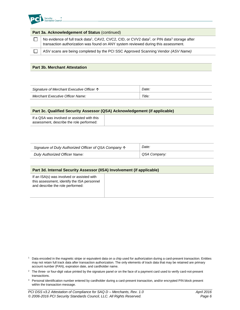

| Part 3a. Acknowledgement of Status (continued) |                                                                                                                                                                                                                         |  |
|------------------------------------------------|-------------------------------------------------------------------------------------------------------------------------------------------------------------------------------------------------------------------------|--|
|                                                | No evidence of full track data <sup>1</sup> , CAV2, CVC2, CID, or CVV2 data <sup>2</sup> , or PIN data <sup>3</sup> storage after<br>transaction authorization was found on ANY system reviewed during this assessment. |  |
|                                                | ASV scans are being completed by the PCI SSC Approved Scanning Vendor (ASV Name)                                                                                                                                        |  |

### **Part 3b. Merchant Attestation**

| Signature of Merchant Executive Officer ↑ | Date:  |
|-------------------------------------------|--------|
| Merchant Executive Officer Name:          | Title. |

#### **Part 3c. Qualified Security Assessor (QSA) Acknowledgement (if applicable)**

If a QSA was involved or assisted with this assessment, describe the role performed:

| Signature of Duly Authorized Officer of QSA Company $\uparrow$ | Date:        |
|----------------------------------------------------------------|--------------|
| Duly Authorized Officer Name:                                  | QSA Company: |

# **Part 3d. Internal Security Assessor (IISA) Involvement (if applicable)** If an ISA(s) was involved or assisted with this assessment, identify the ISA personnel and describe the role performed:

- <sup>1</sup> Data encoded in the magnetic stripe or equivalent data on a chip used for authorization during a card-present transaction. Entities may not retain full track data after transaction authorization. The only elements of track data that may be retained are primary account number (PAN), expiration date, and cardholder name.
- <sup>2</sup> The three- or four-digit value printed by the signature panel or on the face of a payment card used to verify card-not-present transactions.
- <sup>3</sup> Personal identification number entered by cardholder during a card-present transaction, and/or encrypted PIN block present within the transaction message.